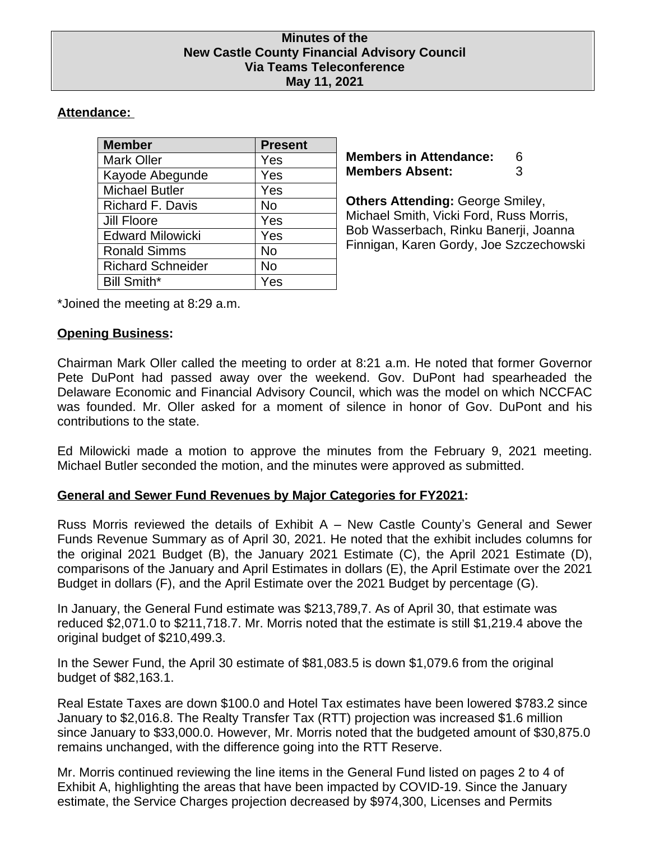#### **Minutes of the New Castle County Financial Advisory Council Via Teams Teleconference May 11, 2021**

# **Attendance:**

| <b>Member</b>            | <b>Present</b> |
|--------------------------|----------------|
| <b>Mark Oller</b>        | Yes            |
| Kayode Abegunde          | Yes            |
| <b>Michael Butler</b>    | Yes            |
| <b>Richard F. Davis</b>  | No             |
| <b>Jill Floore</b>       | Yes            |
| <b>Edward Milowicki</b>  | Yes            |
| <b>Ronald Simms</b>      | No             |
| <b>Richard Schneider</b> | No             |
| <b>Bill Smith*</b>       | Yes            |

**Members in Attendance:** 6 **Members Absent:** 3

**Others Attending:** George Smiley, Michael Smith, Vicki Ford, Russ Morris, Bob Wasserbach, Rinku Banerji, Joanna Finnigan, Karen Gordy, Joe Szczechowski

\*Joined the meeting at 8:29 a.m.

## **Opening Business:**

Chairman Mark Oller called the meeting to order at 8:21 a.m. He noted that former Governor Pete DuPont had passed away over the weekend. Gov. DuPont had spearheaded the Delaware Economic and Financial Advisory Council, which was the model on which NCCFAC was founded. Mr. Oller asked for a moment of silence in honor of Gov. DuPont and his contributions to the state.

Ed Milowicki made a motion to approve the minutes from the February 9, 2021 meeting. Michael Butler seconded the motion, and the minutes were approved as submitted.

## **General and Sewer Fund Revenues by Major Categories for FY2021:**

Russ Morris reviewed the details of Exhibit A – New Castle County's General and Sewer Funds Revenue Summary as of April 30, 2021. He noted that the exhibit includes columns for the original 2021 Budget (B), the January 2021 Estimate (C), the April 2021 Estimate (D), comparisons of the January and April Estimates in dollars (E), the April Estimate over the 2021 Budget in dollars (F), and the April Estimate over the 2021 Budget by percentage (G).

In January, the General Fund estimate was \$213,789,7. As of April 30, that estimate was reduced \$2,071.0 to \$211,718.7. Mr. Morris noted that the estimate is still \$1,219.4 above the original budget of \$210,499.3.

In the Sewer Fund, the April 30 estimate of \$81,083.5 is down \$1,079.6 from the original budget of \$82,163.1.

Real Estate Taxes are down \$100.0 and Hotel Tax estimates have been lowered \$783.2 since January to \$2,016.8. The Realty Transfer Tax (RTT) projection was increased \$1.6 million since January to \$33,000.0. However, Mr. Morris noted that the budgeted amount of \$30,875.0 remains unchanged, with the difference going into the RTT Reserve.

Mr. Morris continued reviewing the line items in the General Fund listed on pages 2 to 4 of Exhibit A, highlighting the areas that have been impacted by COVID-19. Since the January estimate, the Service Charges projection decreased by \$974,300, Licenses and Permits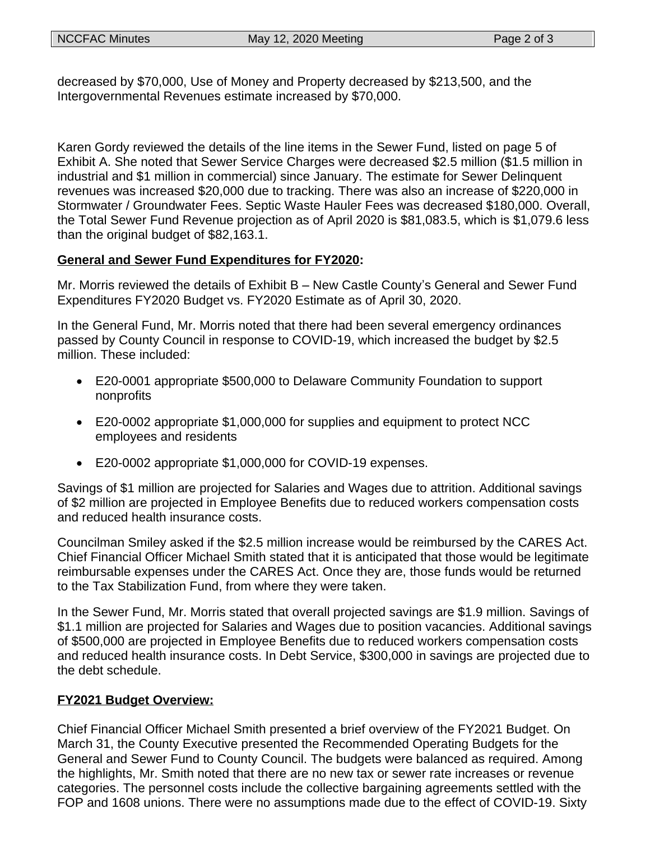decreased by \$70,000, Use of Money and Property decreased by \$213,500, and the Intergovernmental Revenues estimate increased by \$70,000.

Karen Gordy reviewed the details of the line items in the Sewer Fund, listed on page 5 of Exhibit A. She noted that Sewer Service Charges were decreased \$2.5 million (\$1.5 million in industrial and \$1 million in commercial) since January. The estimate for Sewer Delinquent revenues was increased \$20,000 due to tracking. There was also an increase of \$220,000 in Stormwater / Groundwater Fees. Septic Waste Hauler Fees was decreased \$180,000. Overall, the Total Sewer Fund Revenue projection as of April 2020 is \$81,083.5, which is \$1,079.6 less than the original budget of \$82,163.1.

## **General and Sewer Fund Expenditures for FY2020:**

Mr. Morris reviewed the details of Exhibit B – New Castle County's General and Sewer Fund Expenditures FY2020 Budget vs. FY2020 Estimate as of April 30, 2020.

In the General Fund, Mr. Morris noted that there had been several emergency ordinances passed by County Council in response to COVID-19, which increased the budget by \$2.5 million. These included:

- E20-0001 appropriate \$500,000 to Delaware Community Foundation to support nonprofits
- E20-0002 appropriate \$1,000,000 for supplies and equipment to protect NCC employees and residents
- E20-0002 appropriate \$1,000,000 for COVID-19 expenses.

Savings of \$1 million are projected for Salaries and Wages due to attrition. Additional savings of \$2 million are projected in Employee Benefits due to reduced workers compensation costs and reduced health insurance costs.

Councilman Smiley asked if the \$2.5 million increase would be reimbursed by the CARES Act. Chief Financial Officer Michael Smith stated that it is anticipated that those would be legitimate reimbursable expenses under the CARES Act. Once they are, those funds would be returned to the Tax Stabilization Fund, from where they were taken.

In the Sewer Fund, Mr. Morris stated that overall projected savings are \$1.9 million. Savings of \$1.1 million are projected for Salaries and Wages due to position vacancies. Additional savings of \$500,000 are projected in Employee Benefits due to reduced workers compensation costs and reduced health insurance costs. In Debt Service, \$300,000 in savings are projected due to the debt schedule.

#### **FY2021 Budget Overview:**

Chief Financial Officer Michael Smith presented a brief overview of the FY2021 Budget. On March 31, the County Executive presented the Recommended Operating Budgets for the General and Sewer Fund to County Council. The budgets were balanced as required. Among the highlights, Mr. Smith noted that there are no new tax or sewer rate increases or revenue categories. The personnel costs include the collective bargaining agreements settled with the FOP and 1608 unions. There were no assumptions made due to the effect of COVID-19. Sixty